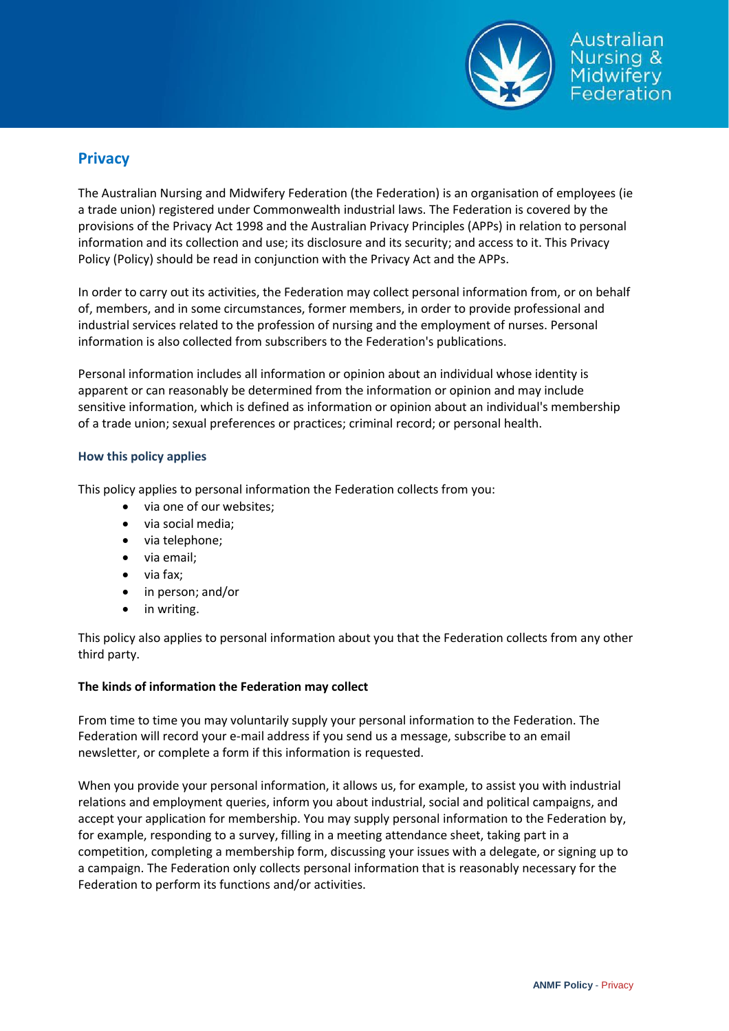

# **Privacy**

The Australian Nursing and Midwifery Federation (the Federation) is an organisation of employees (ie a trade union) registered under Commonwealth industrial laws. The Federation is covered by the provisions of the Privacy Act 1998 and the Australian Privacy Principles (APPs) in relation to personal information and its collection and use; its disclosure and its security; and access to it. This Privacy Policy (Policy) should be read in conjunction with the Privacy Act and the APPs.

In order to carry out its activities, the Federation may collect personal information from, or on behalf of, members, and in some circumstances, former members, in order to provide professional and industrial services related to the profession of nursing and the employment of nurses. Personal information is also collected from subscribers to the Federation's publications.

Personal information includes all information or opinion about an individual whose identity is apparent or can reasonably be determined from the information or opinion and may include sensitive information, which is defined as information or opinion about an individual's membership of a trade union; sexual preferences or practices; criminal record; or personal health.

## **How this policy applies**

This policy applies to personal information the Federation collects from you:

- via one of our websites;
- via social media;
- via telephone;
- via email;
- via fax;
- in person; and/or
- in writing.

This policy also applies to personal information about you that the Federation collects from any other third party.

#### **The kinds of information the Federation may collect**

From time to time you may voluntarily supply your personal information to the Federation. The Federation will record your e-mail address if you send us a message, subscribe to an email newsletter, or complete a form if this information is requested.

When you provide your personal information, it allows us, for example, to assist you with industrial relations and employment queries, inform you about industrial, social and political campaigns, and accept your application for membership. You may supply personal information to the Federation by, for example, responding to a survey, filling in a meeting attendance sheet, taking part in a competition, completing a membership form, discussing your issues with a delegate, or signing up to a campaign. The Federation only collects personal information that is reasonably necessary for the Federation to perform its functions and/or activities.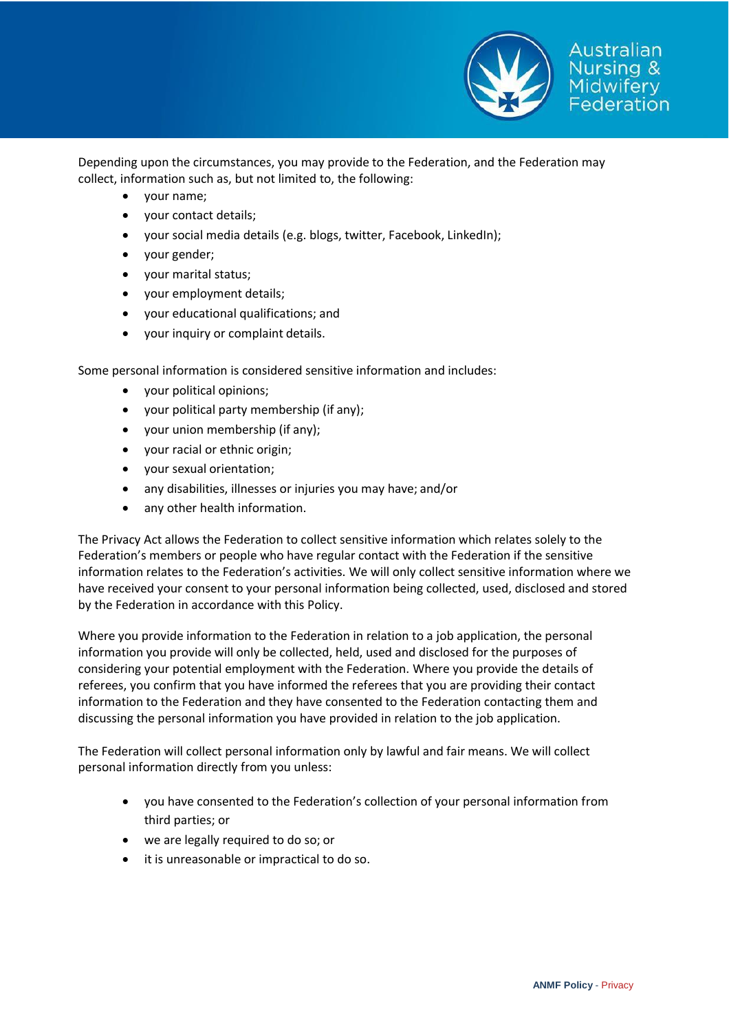

Depending upon the circumstances, you may provide to the Federation, and the Federation may collect, information such as, but not limited to, the following:

- your name;
- your contact details;
- your social media details (e.g. blogs, twitter, Facebook, LinkedIn);
- your gender;
- your marital status;
- your employment details;
- your educational qualifications; and
- your inquiry or complaint details.

Some personal information is considered sensitive information and includes:

- your political opinions;
- your political party membership (if any);
- your union membership (if any);
- your racial or ethnic origin;
- your sexual orientation;
- any disabilities, illnesses or injuries you may have; and/or
- any other health information.

The Privacy Act allows the Federation to collect sensitive information which relates solely to the Federation's members or people who have regular contact with the Federation if the sensitive information relates to the Federation's activities. We will only collect sensitive information where we have received your consent to your personal information being collected, used, disclosed and stored by the Federation in accordance with this Policy.

Where you provide information to the Federation in relation to a job application, the personal information you provide will only be collected, held, used and disclosed for the purposes of considering your potential employment with the Federation. Where you provide the details of referees, you confirm that you have informed the referees that you are providing their contact information to the Federation and they have consented to the Federation contacting them and discussing the personal information you have provided in relation to the job application.

The Federation will collect personal information only by lawful and fair means. We will collect personal information directly from you unless:

- you have consented to the Federation's collection of your personal information from third parties; or
- we are legally required to do so; or
- it is unreasonable or impractical to do so.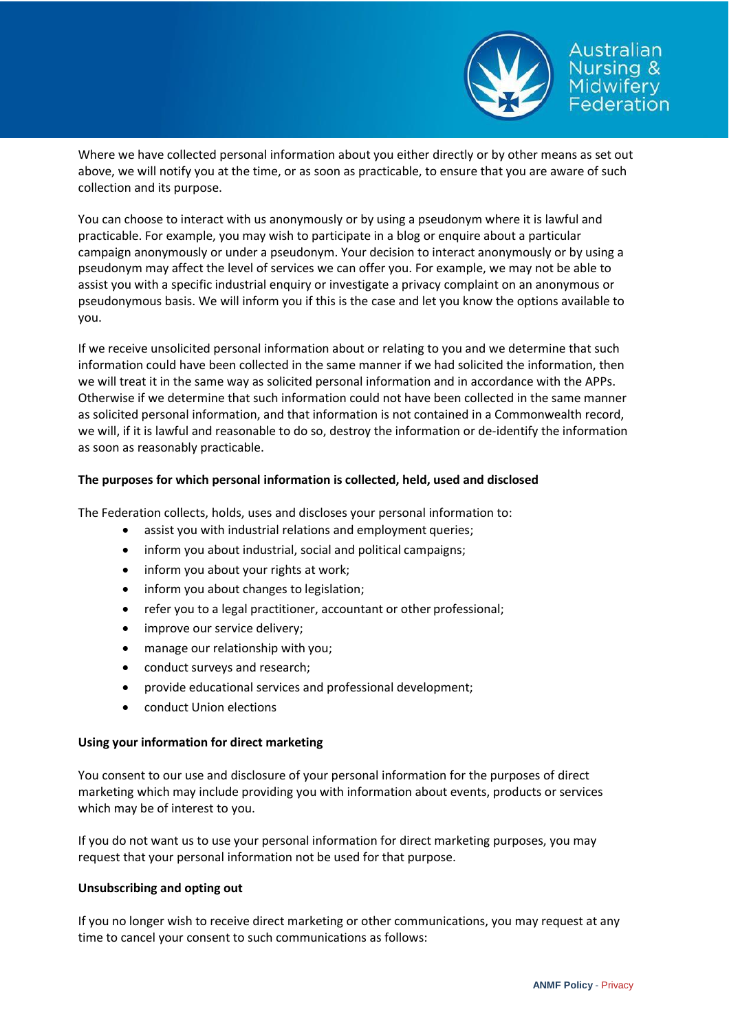

Australian rsing & ederation

Where we have collected personal information about you either directly or by other means as set out above, we will notify you at the time, or as soon as practicable, to ensure that you are aware of such collection and its purpose.

You can choose to interact with us anonymously or by using a pseudonym where it is lawful and practicable. For example, you may wish to participate in a blog or enquire about a particular campaign anonymously or under a pseudonym. Your decision to interact anonymously or by using a pseudonym may affect the level of services we can offer you. For example, we may not be able to assist you with a specific industrial enquiry or investigate a privacy complaint on an anonymous or pseudonymous basis. We will inform you if this is the case and let you know the options available to you.

If we receive unsolicited personal information about or relating to you and we determine that such information could have been collected in the same manner if we had solicited the information, then we will treat it in the same way as solicited personal information and in accordance with the APPs. Otherwise if we determine that such information could not have been collected in the same manner as solicited personal information, and that information is not contained in a Commonwealth record, we will, if it is lawful and reasonable to do so, destroy the information or de-identify the information as soon as reasonably practicable.

### **The purposes for which personal information is collected, held, used and disclosed**

The Federation collects, holds, uses and discloses your personal information to:

- assist you with industrial relations and employment queries;
- inform you about industrial, social and political campaigns;
- inform you about your rights at work;
- inform you about changes to legislation;
- refer you to a legal practitioner, accountant or other professional;
- improve our service delivery;
- manage our relationship with you;
- conduct surveys and research;
- provide educational services and professional development;
- conduct Union elections

#### **Using your information for direct marketing**

You consent to our use and disclosure of your personal information for the purposes of direct marketing which may include providing you with information about events, products or services which may be of interest to you.

If you do not want us to use your personal information for direct marketing purposes, you may request that your personal information not be used for that purpose.

#### **Unsubscribing and opting out**

If you no longer wish to receive direct marketing or other communications, you may request at any time to cancel your consent to such communications as follows: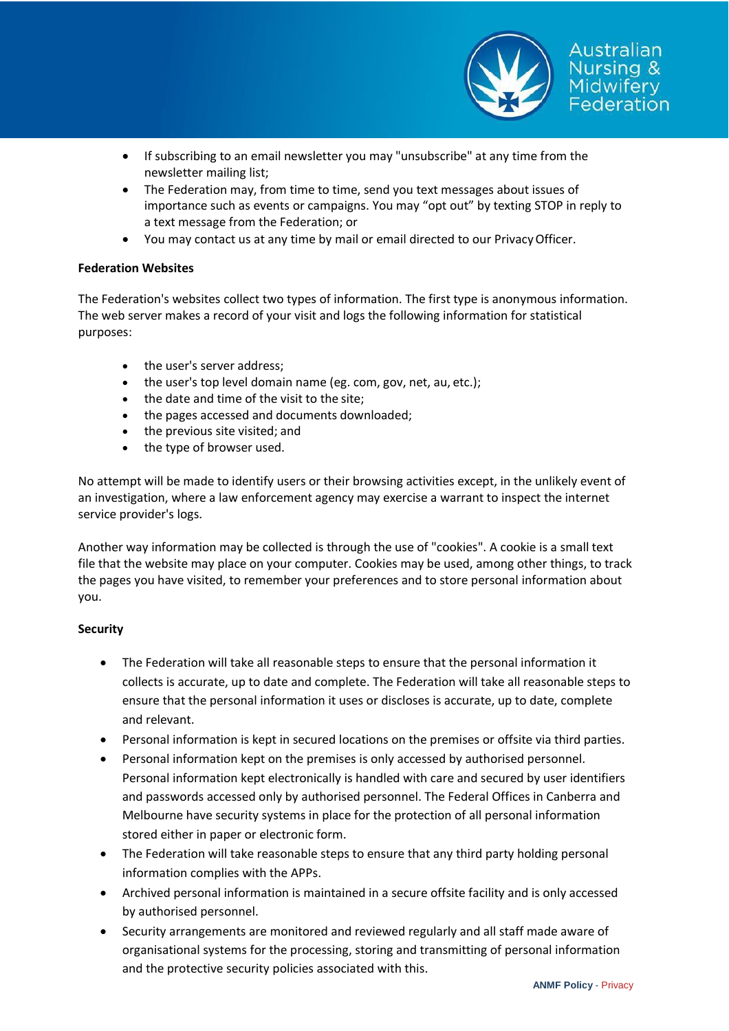

- If subscribing to an email newsletter you may "unsubscribe" at any time from the newsletter mailing list;
- The Federation may, from time to time, send you text messages about issues of importance such as events or campaigns. You may "opt out" by texting STOP in reply to a text message from the Federation; or
- You may contact us at any time by mail or email directed to our PrivacyOfficer.

#### **Federation Websites**

The Federation's websites collect two types of information. The first type is anonymous information. The web server makes a record of your visit and logs the following information for statistical purposes:

- the user's server address:
- the user's top level domain name (eg. com, gov, net, au, etc.);
- the date and time of the visit to the site;
- the pages accessed and documents downloaded;
- the previous site visited; and
- the type of browser used.

No attempt will be made to identify users or their browsing activities except, in the unlikely event of an investigation, where a law enforcement agency may exercise a warrant to inspect the internet service provider's logs.

Another way information may be collected is through the use of "cookies". A cookie is a small text file that the website may place on your computer. Cookies may be used, among other things, to track the pages you have visited, to remember your preferences and to store personal information about you.

#### **Security**

- The Federation will take all reasonable steps to ensure that the personal information it collects is accurate, up to date and complete. The Federation will take all reasonable steps to ensure that the personal information it uses or discloses is accurate, up to date, complete and relevant.
- Personal information is kept in secured locations on the premises or offsite via third parties.
- Personal information kept on the premises is only accessed by authorised personnel. Personal information kept electronically is handled with care and secured by user identifiers and passwords accessed only by authorised personnel. The Federal Offices in Canberra and Melbourne have security systems in place for the protection of all personal information stored either in paper or electronic form.
- The Federation will take reasonable steps to ensure that any third party holding personal information complies with the APPs.
- Archived personal information is maintained in a secure offsite facility and is only accessed by authorised personnel.
- Security arrangements are monitored and reviewed regularly and all staff made aware of organisational systems for the processing, storing and transmitting of personal information and the protective security policies associated with this.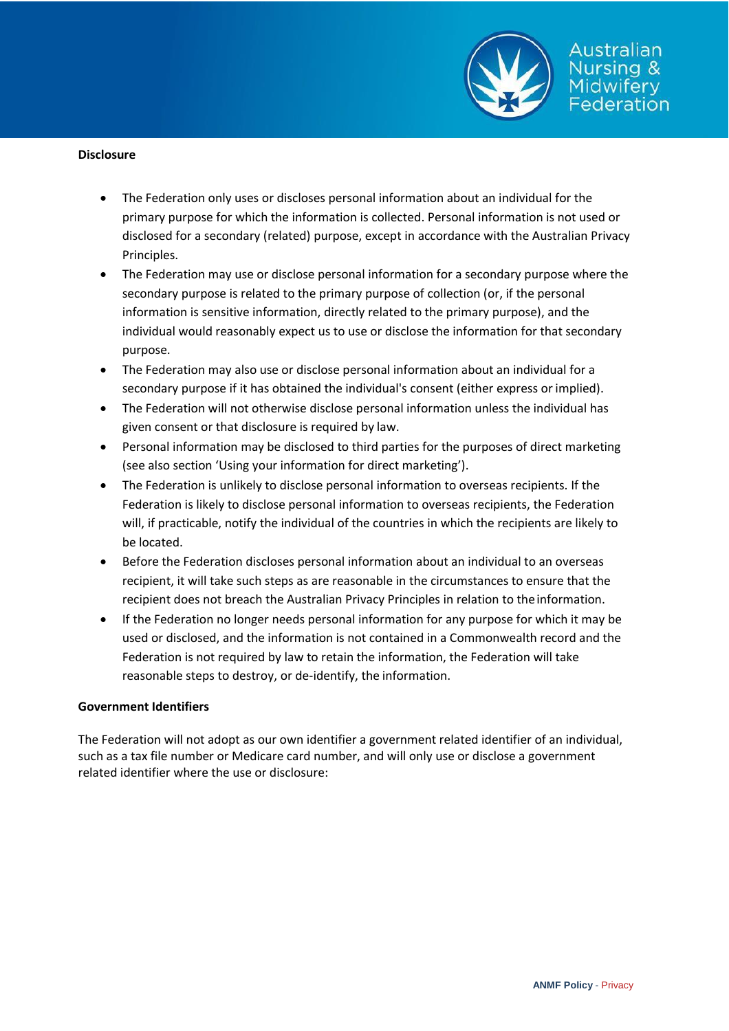

Australian Jursing & idwifery Federation

- The Federation only uses or discloses personal information about an individual for the primary purpose for which the information is collected. Personal information is not used or disclosed for a secondary (related) purpose, except in accordance with the Australian Privacy Principles.
- The Federation may use or disclose personal information for a secondary purpose where the secondary purpose is related to the primary purpose of collection (or, if the personal information is sensitive information, directly related to the primary purpose), and the individual would reasonably expect us to use or disclose the information for that secondary purpose.
- The Federation may also use or disclose personal information about an individual for a secondary purpose if it has obtained the individual's consent (either express orimplied).
- The Federation will not otherwise disclose personal information unless the individual has given consent or that disclosure is required by law.
- Personal information may be disclosed to third parties for the purposes of direct marketing (see also section 'Using your information for direct marketing').
- The Federation is unlikely to disclose personal information to overseas recipients. If the Federation is likely to disclose personal information to overseas recipients, the Federation will, if practicable, notify the individual of the countries in which the recipients are likely to be located.
- Before the Federation discloses personal information about an individual to an overseas recipient, it will take such steps as are reasonable in the circumstances to ensure that the recipient does not breach the Australian Privacy Principles in relation to theinformation.
- If the Federation no longer needs personal information for any purpose for which it may be used or disclosed, and the information is not contained in a Commonwealth record and the Federation is not required by law to retain the information, the Federation will take reasonable steps to destroy, or de-identify, the information.

#### **Government Identifiers**

The Federation will not adopt as our own identifier a government related identifier of an individual, such as a tax file number or Medicare card number, and will only use or disclose a government related identifier where the use or disclosure: